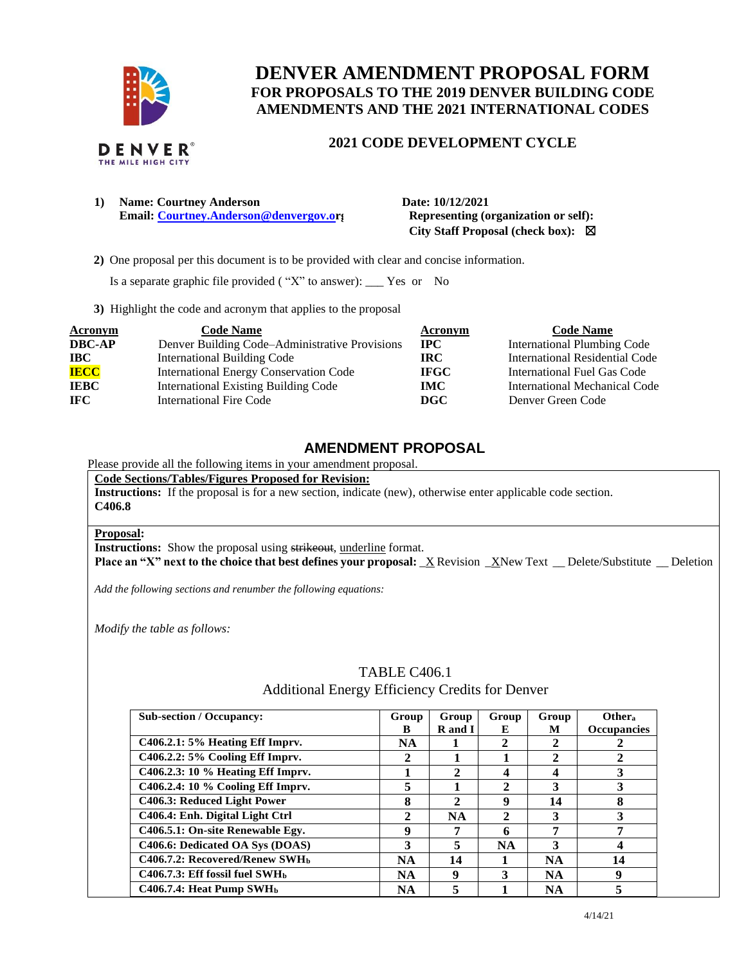

# **DENVER AMENDMENT PROPOSAL FORM FOR PROPOSALS TO THE 2019 DENVER BUILDING CODE AMENDMENTS AND THE 2021 INTERNATIONAL CODES**

### **2021 CODE DEVELOPMENT CYCLE**

**1) Name: Courtney Anderson Date: 10/12/2021 Email: [Courtney.Anderson@denvergov.or](mailto:Courtney.Anderson@denvergov.o)j** Representing (organization or self):

 **City Staff Proposal (check box):** ☒

 **2)** One proposal per this document is to be provided with clear and concise information.

Is a separate graphic file provided ( "X" to answer): \_\_\_ Yes or No

**3)** Highlight the code and acronym that applies to the proposal

| <b>Acronym</b> | <b>Code Name</b>                               | Acronym     | <b>Code Name</b>                   |
|----------------|------------------------------------------------|-------------|------------------------------------|
| <b>DBC-AP</b>  | Denver Building Code–Administrative Provisions | $\bf IPC$   | <b>International Plumbing Code</b> |
| <b>IBC</b>     | International Building Code                    | IRC.        | International Residential Code     |
| <b>IECC</b>    | <b>International Energy Conservation Code</b>  | <b>IFGC</b> | International Fuel Gas Code        |
| <b>IEBC</b>    | <b>International Existing Building Code</b>    | IMC .       | International Mechanical Code      |
| <b>IFC</b>     | International Fire Code                        | DGC         | Denver Green Code                  |

### **AMENDMENT PROPOSAL**

### Please provide all the following items in your amendment proposal.

**Code Sections/Tables/Figures Proposed for Revision:**

**Instructions:** If the proposal is for a new section, indicate (new), otherwise enter applicable code section. **C406.8**

### **Proposal:**

**Instructions:** Show the proposal using strikeout, underline format.

**Place an "X" next to the choice that best defines your proposal:** \_X Revision \_XNew Text \_\_ Delete/Substitute \_\_ Deletion

*Add the following sections and renumber the following equations:* 

*Modify the table as follows:* 

#### **Sub-section / Occupancy: Group B Group R and I Group E Group M Other<sup>a</sup> Occupancies C406.2.1: 5% Heating Eff Imprv. NA 1 2 2 2 C406.2.2: 5% Cooling Eff Imprv. 2 1 1 2 2 C406.2.3: 10 % Heating Eff Imprv. 1 2 4 4 3 C406.2.4: 10 % Cooling Eff Imprv. 5 1 2 3 3 C406.3: Reduced Light Power 8 2 9 14 8 C406.4: Enh. Digital Light Ctrl 2 NA 2 3 3 C406.5.1: On-site Renewable Egy. 9 7 6 7 7 C406.6: Dedicated OA Sys (DOAS) 3 5 NA 3 4 C406.7.2: Recovered/Renew SWH<sup>b</sup> NA 14 1 NA 14 C406.7.3: Eff fossil fuel SWH<sup>b</sup> NA 9 3 NA 9 C406.7.4: Heat Pump SWH<sup>b</sup> NA 5 1 NA 5**

## TABLE C406.1 Additional Energy Efficiency Credits for Denver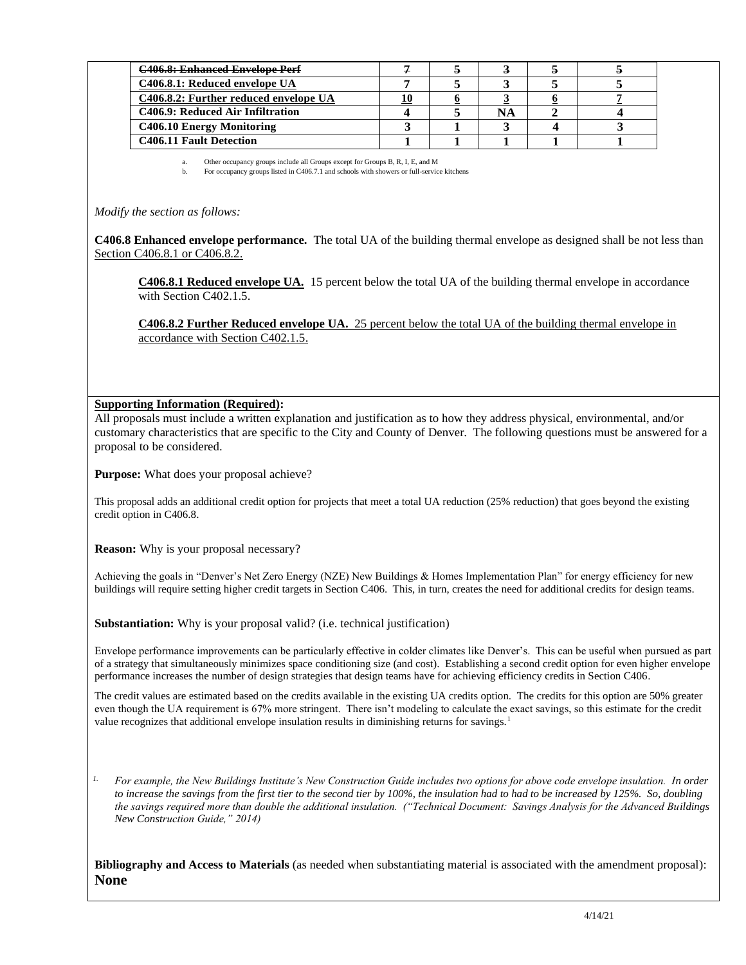| <b>C406.8: Enhanced Envelope Perf</b> |  |    |  |
|---------------------------------------|--|----|--|
| C406.8.1: Reduced envelope UA         |  |    |  |
| C406.8.2: Further reduced envelope UA |  |    |  |
| C406.9: Reduced Air Infiltration      |  | NА |  |
| C406.10 Energy Monitoring             |  |    |  |
| C406.11 Fault Detection               |  |    |  |

a. Other occupancy groups include all Groups except for Groups B, R, I, E, and M b. For occupancy groups listed in C406.7.1 and schools with showers or full-service kitchens

*Modify the section as follows:* 

**C406.8 Enhanced envelope performance.** The total UA of the building thermal envelope as designed shall be not less than Section C406.8.1 or C406.8.2.

**C406.8.1 Reduced envelope UA.** 15 percent below the total UA of the building thermal envelope in accordance with Section C402.1.5.

**C406.8.2 Further Reduced envelope UA.** 25 percent below the total UA of the building thermal envelope in accordance with Section C402.1.5.

### **Supporting Information (Required):**

All proposals must include a written explanation and justification as to how they address physical, environmental, and/or customary characteristics that are specific to the City and County of Denver. The following questions must be answered for a proposal to be considered.

**Purpose:** What does your proposal achieve?

This proposal adds an additional credit option for projects that meet a total UA reduction (25% reduction) that goes beyond the existing credit option in C406.8.

**Reason:** Why is your proposal necessary?

Achieving the goals in "Denver's Net Zero Energy (NZE) New Buildings & Homes Implementation Plan" for energy efficiency for new buildings will require setting higher credit targets in Section C406. This, in turn, creates the need for additional credits for design teams.

**Substantiation:** Why is your proposal valid? (i.e. technical justification)

Envelope performance improvements can be particularly effective in colder climates like Denver's. This can be useful when pursued as part of a strategy that simultaneously minimizes space conditioning size (and cost). Establishing a second credit option for even higher envelope performance increases the number of design strategies that design teams have for achieving efficiency credits in Section C406.

The credit values are estimated based on the credits available in the existing UA credits option. The credits for this option are 50% greater even though the UA requirement is 67% more stringent. There isn't modeling to calculate the exact savings, so this estimate for the credit value recognizes that additional envelope insulation results in diminishing returns for savings.<sup>1</sup>

<sup>1.</sup> For example, the New Buildings Institute's New Construction Guide includes two options for above code envelope insulation. In order *to increase the savings from the first tier to the second tier by 100%, the insulation had to had to be increased by 125%. So, doubling the savings required more than double the additional insulation. ("Technical Document: Savings Analysis for the Advanced Buildings New Construction Guide," 2014)*

**Bibliography and Access to Materials** (as needed when substantiating material is associated with the amendment proposal): **None**